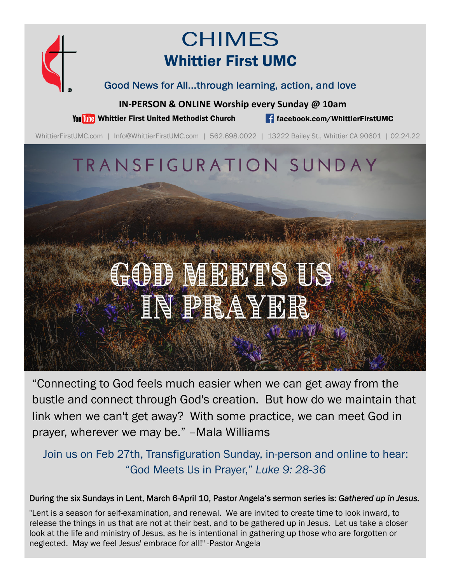

## CHIMES Whittier First UMC

Good News for All...through learning, action, and love

**IN‐PERSON & ONLINE Worship every Sunday @ 10am**

You This Whittier First United Methodist Church **for the facebook.com/WhittierFirstUMC** 

WhittierFirstUMC.com | Info@WhittierFirstUMC.com | 562.698.0022 | 13222 Bailey St., Whittier CA 90601 | 02.24.22

## TRANSFIGURATION SUNDAY

# GOD MEETS US IN PRAYER

"Connecting to God feels much easier when we can get away from the bustle and connect through God's creation. But how do we maintain that link when we can't get away? With some practice, we can meet God in prayer, wherever we may be." –Mala Williams

Join us on Feb 27th, Transfiguration Sunday, in-person and online to hear: "God Meets Us in Prayer," *Luke 9: 28-36*

#### During the six Sundays in Lent, March 6-April 10, Pastor Angela's sermon series is: *Gathered up in Jesus.*

"Lent is a season for self-examination, and renewal. We are invited to create time to look inward, to release the things in us that are not at their best, and to be gathered up in Jesus. Let us take a closer look at the life and ministry of Jesus, as he is intentional in gathering up those who are forgotten or neglected. May we feel Jesus' embrace for all!" -Pastor Angela